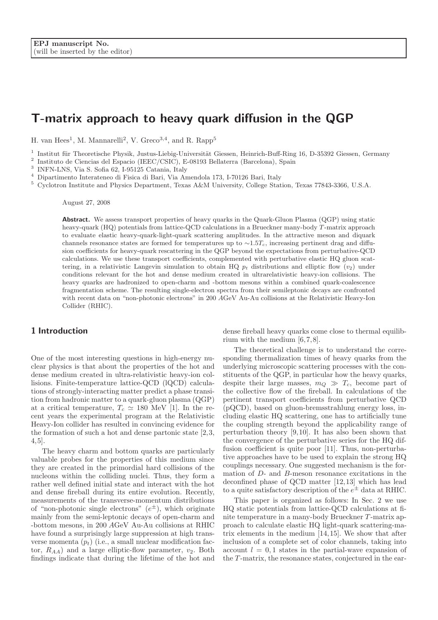# T-matrix approach to heavy quark diffusion in the QGP

H. van Hees<sup>1</sup>, M. Mannarelli<sup>2</sup>, V. Greco<sup>3,4</sup>, and R. Rapp<sup>5</sup>

<sup>1</sup> Institut für Theoretische Physik, Justus-Liebig-Universität Giessen, Heinrich-Buff-Ring 16, D-35392 Giessen, Germany

2 Instituto de Ciencias del Espacio (IEEC/CSIC), E-08193 Bellaterra (Barcelona), Spain

3 INFN-LNS, Via S. Sofia 62, I-95125 Catania, Italy

<sup>4</sup> Dipartimento Interateneo di Fisica di Bari, Via Amendola 173, I-70126 Bari, Italy

<sup>5</sup> Cyclotron Institute and Physics Department, Texas A&M University, College Station, Texas 77843-3366, U.S.A.

August 27, 2008

Abstract. We assess transport properties of heavy quarks in the Quark-Gluon Plasma (QGP) using static heavy-quark (HQ) potentials from lattice-QCD calculations in a Brueckner many-body T-matrix approach to evaluate elastic heavy-quark-light-quark scattering amplitudes. In the attractive meson and diquark channels resonance states are formed for temperatures up to  $\sim$ 1.5T<sub>c</sub>, increasing pertinent drag and diffusion coefficients for heavy-quark rescattering in the QGP beyond the expectations from perturbative-QCD calculations. We use these transport coefficients, complemented with perturbative elastic HQ gluon scattering, in a relativistic Langevin simulation to obtain HQ  $p_t$  distributions and elliptic flow  $(v_2)$  under conditions relevant for the hot and dense medium created in ultrarelativistic heavy-ion collisions. The heavy quarks are hadronized to open-charm and -bottom mesons within a combined quark-coalescence fragmentation scheme. The resulting single-electron spectra from their semileptonic decays are confronted with recent data on "non-photonic electrons" in 200 AGeV Au-Au collisions at the Relativistic Heavy-Ion Collider (RHIC).

### 1 Introduction

One of the most interesting questions in high-energy nuclear physics is that about the properties of the hot and dense medium created in ultra-relativistic heavy-ion collisions. Finite-temperature lattice-QCD (lQCD) calculations of strongly-interacting matter predict a phase transition from hadronic matter to a quark-gluon plasma (QGP) at a critical temperature,  $T_c \simeq 180$  MeV [\[1\]](#page-6-0). In the recent years the experimental program at the Relativistic Heavy-Ion collider has resulted in convincing evidence for the formation of such a hot and dense partonic state [\[2,](#page-6-1)[3,](#page-6-2) [4,](#page-6-3)[5\]](#page-6-4).

The heavy charm and bottom quarks are particularly valuable probes for the properties of this medium since they are created in the primordial hard collisions of the nucleons within the colliding nuclei. Thus, they form a rather well defined initial state and interact with the hot and dense fireball during its entire evolution. Recently, measurements of the transverse-momentum distributions of "non-photonic single electrons"  $(e^{\pm})$ , which originate mainly from the semi-leptonic decays of open-charm and -bottom mesons, in 200 AGeV Au-Au collisions at RHIC have found a surprisingly large suppression at high transverse momenta  $(p_t)$  (i.e., a small nuclear modification factor,  $R_{AA}$ ) and a large elliptic-flow parameter,  $v_2$ . Both findings indicate that during the lifetime of the hot and

dense fireball heavy quarks come close to thermal equilibrium with the medium [\[6,](#page-6-5)[7,](#page-6-6)[8\]](#page-6-7).

The theoretical challenge is to understand the corresponding thermalization times of heavy quarks from the underlying microscopic scattering processes with the constituents of the QGP, in particular how the heavy quarks, despite their large masses,  $m_Q \gg T_c$ , become part of the collective flow of the fireball. In calculations of the pertinent transport coefficients from perturbative QCD (pQCD), based on gluon-bremsstrahlung energy loss, including elastic HQ scattering, one has to artificially tune the coupling strength beyond the applicability range of perturbation theory [\[9,](#page-6-8)[10\]](#page-6-9). It has also been shown that the convergence of the perturbative series for the HQ diffusion coefficient is quite poor [\[11\]](#page-6-10). Thus, non-perturbative approaches have to be used to explain the strong HQ couplings necessary. One suggested mechanism is the formation of D- and B-meson resonance excitations in the deconfined phase of QCD matter [\[12,](#page-6-11)[13\]](#page-6-12) which has lead to a quite satisfactory description of the  $e^{\pm}$  data at RHIC.

This paper is organized as follows: In Sec. [2](#page-1-0) we use HQ static potentials from lattice-QCD calculations at finite temperature in a many-body Brueckner T-matrix approach to calculate elastic HQ light-quark scattering-matrix elements in the medium [\[14,](#page-6-13)[15\]](#page-6-14). We show that after inclusion of a complete set of color channels, taking into account  $l = 0, 1$  states in the partial-wave expansion of the  $T$ -matrix, the resonance states, conjectured in the ear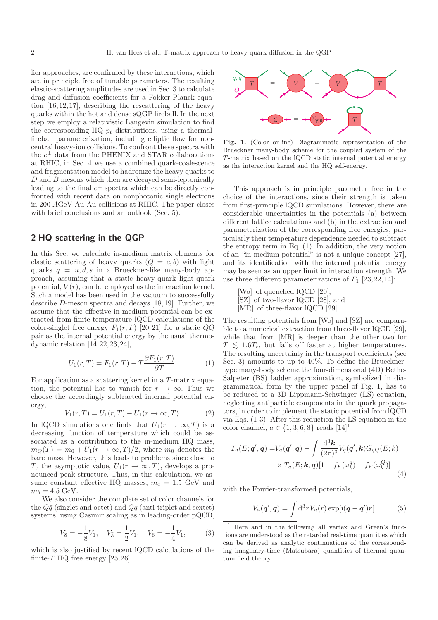lier approaches, are confirmed by these interactions, which are in principle free of tunable parameters. The resulting elastic-scattering amplitudes are used in Sec. [3](#page-2-0) to calculate drag and diffusion coefficients for a Fokker-Planck equation [\[16,](#page-6-15)[12,](#page-6-11)[17\]](#page-6-16), describing the rescattering of the heavy quarks within the hot and dense sQGP fireball. In the next step we employ a relativistic Langevin simulation to find the corresponding HQ  $p_t$  distributions, using a thermalfireball parameterization, including elliptic flow for noncentral heavy-ion collisions. To confront these spectra with the  $e^{\pm}$  data from the PHENIX and STAR collaborations at RHIC, in Sec. [4](#page-5-0) we use a combined quark-coalescence and fragmentation model to hadronize the heavy quarks to D and B mesons which then are decayed semi-leptonically leading to the final  $e^{\pm}$  spectra which can be directly confronted with recent data on nonphotonic single electrons in 200 AGeV Au-Au collisions at RHIC. The paper closes with brief conclusions and an outlook (Sec. [5\)](#page-6-17).

## <span id="page-1-0"></span>2 HQ scattering in the QGP

In this Sec. we calculate in-medium matrix elements for elastic scattering of heavy quarks  $(Q = c, b)$  with light quarks  $q = u, d, s$  in a Brueckner-like many-body approach, assuming that a static heavy-quark light-quark potential,  $V(r)$ , can be employed as the interaction kernel. Such a model has been used in the vacuum to successfully describe D-meson spectra and decays [\[18,](#page-6-18)[19\]](#page-6-19). Further, we assume that the effective in-medium potential can be extracted from finite-temperature lQCD calculations of the color-singlet free energy  $F_1(r, T)$  [\[20,](#page-6-20)[21\]](#page-6-21) for a static  $\overline{Q}Q$ pair as the internal potential energy by the usual thermodynamic relation [\[14,](#page-6-13)[22,](#page-6-22)[23,](#page-6-23)[24\]](#page-6-24),

<span id="page-1-1"></span>
$$
U_1(r,T) = F_1(r,T) - T \frac{\partial F_1(r,T)}{\partial T}.
$$
 (1)

For application as a scattering kernel in a  $T$ -matrix equation, the potential has to vanish for  $r \to \infty$ . Thus we choose the accordingly subtracted internal potential energy,

$$
V_1(r,T) = U_1(r,T) - U_1(r \to \infty, T). \tag{2}
$$

In lQCD simulations one finds that  $U_1(r \to \infty, T)$  is a decreasing function of temperature which could be associated as a contribution to the in-medium HQ mass,  $m_Q(T) = m_0 + U_1(r \to \infty, T)/2$ , where  $m_0$  denotes the bare mass. However, this leads to problems since close to  $T_c$  the asymptotic value,  $U_1(r \to \infty, T)$ , develops a pronounced peak structure. Thus, in this calculation, we assume constant effective HQ masses,  $m_c = 1.5$  GeV and  $m_b = 4.5$  GeV.

We also consider the complete set of color channels for the  $Q\bar{q}$  (singlet and octet) and  $Qq$  (anti-triplet and sextet) systems, using Casimir scaling as in leading-order pQCD,

$$
V_8 = -\frac{1}{8}V_1, \quad V_{\bar{3}} = \frac{1}{2}V_1, \quad V_6 = -\frac{1}{4}V_1,\tag{3}
$$

which is also justified by recent lQCD calculations of the finite-T HQ free energy  $[25, 26]$  $[25, 26]$ .



<span id="page-1-2"></span>Fig. 1. (Color online) Diagrammatic representation of the Brueckner many-body scheme for the coupled system of the T-matrix based on the lQCD static internal potential energy as the interaction kernel and the HQ self-energy.

This approach is in principle parameter free in the choice of the interactions, since their strength is taken from first-principle lQCD simulations. However, there are considerable uncertainties in the potentials (a) between different lattice calculations and (b) in the extraction and parameterization of the corresponding free energies, particularly their temperature dependence needed to subtract the entropy term in Eq. [\(1\)](#page-1-1). In addition, the very notion of an "in-medium potential" is not a unique concept [\[27\]](#page-6-27), and its identification with the internal potential energy may be seen as an upper limit in interaction strength. We use three different parameterizations of  $F_1$  [\[23,](#page-6-23)[22,](#page-6-22)[14\]](#page-6-13):

[Wo] of quenched lQCD [\[20\]](#page-6-20), [SZ] of two-flavor lQCD [\[28\]](#page-6-28), and [MR] of three-flavor lQCD [\[29\]](#page-6-29).

The resulting potentials from [Wo] and [SZ] are comparable to a numerical extraction from three-flavor lQCD [\[29\]](#page-6-29), while that from [MR] is deeper than the other two for  $T \leq 1.6T_c$ , but falls off faster at higher temperatures. The resulting uncertainty in the transport coefficients (see Sec. [3\)](#page-2-0) amounts to up to 40%. To define the Bruecknertype many-body scheme the four-dimensional (4D) Bethe-Salpeter (BS) ladder approximation, symbolized in diagrammatical form by the upper panel of Fig. [1,](#page-1-2) has to be reduced to a 3D Lippmann-Schwinger (LS) equation, neglecting antiparticle components in the quark propagators, in order to implement the static potential from lQCD via Eqs. [\(1-](#page-1-1)[3\)](#page-1-3). After this reduction the LS equation in the color channel,  $a \in \{1, 3, 6, 8\}$  $a \in \{1, 3, 6, 8\}$  $a \in \{1, 3, 6, 8\}$  reads  $[14]$ <sup>1</sup>

<span id="page-1-5"></span>
$$
T_a(E; \mathbf{q}', \mathbf{q}) = V_a(\mathbf{q}', \mathbf{q}) - \int \frac{\mathrm{d}^3 \mathbf{k}}{(2\pi)^3} V_q(\mathbf{q}', \mathbf{k}) G_{qQ}(E; k) \times T_a(E; \mathbf{k}, \mathbf{q}) [1 - f_F(\omega_k^q) - f_F(\omega_k^Q)]
$$
\n(4)

with the Fourier-transformed potentials,

$$
V_a(\boldsymbol{q}',\boldsymbol{q}) = \int d^3\boldsymbol{r} V_a(\boldsymbol{r}) \exp[i(\boldsymbol{q}-\boldsymbol{q}')\boldsymbol{r}]. \tag{5}
$$

<span id="page-1-4"></span><span id="page-1-3"></span><sup>1</sup> Here and in the following all vertex and Green's functions are understood as the retarded real-time quantities which can be derived as analytic continuations of the corresponding imaginary-time (Matsubara) quantities of thermal quantum field theory.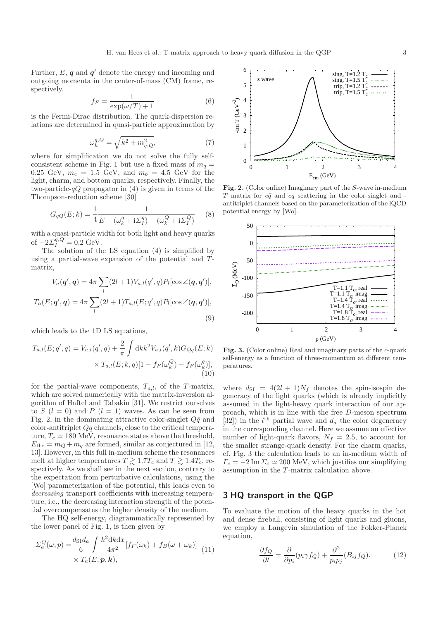Further,  $E$ ,  $q$  and  $q'$  denote the energy and incoming and outgoing momenta in the center-of-mass (CM) frame, respectively.

$$
f_F = \frac{1}{\exp(\omega/T) + 1} \tag{6}
$$

is the Fermi-Dirac distribution. The quark-dispersion relations are determined in quasi-particle approximation by

$$
\omega_k^{q,Q} = \sqrt{k^2 + m_{q,Q}^2},\tag{7}
$$

where for simplification we do not solve the fully self-consistent scheme in Fig. [1](#page-1-2) but use a fixed mass of  $m_q =$ 0.25 GeV,  $m_c = 1.5$  GeV, and  $m_b = 4.5$  GeV for the light, charm, and bottom quarks, respectively. Finally, the two-particle- $qQ$  propagator in [\(4\)](#page-1-5) is given in terms of the Thompson-reduction scheme [\[30\]](#page-6-30)

$$
G_{qQ}(E;k) = \frac{1}{4} \frac{1}{E - (\omega_k^q + i\Sigma_I^q) - (\omega_k^Q + i\Sigma_I^Q)}
$$
(8)

with a quasi-particle width for both light and heavy quarks of  $-2\Sigma_I^{q,Q} = 0.2 \text{ GeV}.$ 

The solution of the LS equation [\(4\)](#page-1-5) is simplified by using a partial-wave expansion of the potential and  $T$ matrix,

$$
V_a(\boldsymbol{q}', \boldsymbol{q}) = 4\pi \sum_l (2l+1) V_{a,l}(q',q) P_l[\cos \angle(\boldsymbol{q}, \boldsymbol{q}')] ,
$$
  

$$
T_a(E; \boldsymbol{q}', \boldsymbol{q}) = 4\pi \sum_l (2l+1) T_{a,l}(E; q',q) P_l[\cos \angle(\boldsymbol{q}, \boldsymbol{q}')] ,
$$
  
(9)

which leads to the 1D LS equations,

$$
T_{a,l}(E;q',q) = V_{a,l}(q',q) + \frac{2}{\pi} \int \mathrm{d}k k^2 V_{a,l}(q',k) G_{Qq}(E;k)
$$

$$
\times T_{a,l}(E;k,q)[1 - f_F(\omega_k^Q) - f_F(\omega_k^q)],
$$
(10)

for the partial-wave components,  $T_{a,l}$ , of the T-matrix, which are solved numerically with the matrix-inversion algorithm of Haftel and Tabakin [\[31\]](#page-6-31). We restrict ourselves to S  $(l = 0)$  and P  $(l = 1)$  waves. As can be seen from Fig. [2,](#page-2-1) in the dominating attractive color-singlet  $Q\bar{q}$  and color-antitriplet  $Qq$  channels, close to the critical temperature,  $T_c \simeq 180$  MeV, resonance states above the threshold,  $E_{\text{thr}} = m_Q + m_q$  are formed, similar as conjectured in [\[12,](#page-6-11) [13\]](#page-6-12). However, in this full in-medium scheme the resonances melt at higher temperatures  $T \gtrsim 1.7T_c$  and  $T \gtrsim 1.4T_c$ , respectively. As we shall see in the next section, contrary to the expectation from perturbative calculations, using the [Wo] parameterization of the potential, this leads even to decreasing transport coefficients with increasing temperature, i.e., the decreasing interaction strength of the potential overcompensates the higher density of the medium.

The HQ self-energy, diagrammatically represented by the lower panel of Fig. [1,](#page-1-2) is then given by

$$
\Sigma_a^Q(\omega, p) = \frac{d_{\rm SI} d_a}{6} \int \frac{k^2 \, \mathrm{d}k \, \mathrm{d}x}{4\pi^2} \left[ f_F(\omega_k) + f_B(\omega + \omega_k) \right] \tag{11}
$$
\n
$$
\times T_a(E; p, k),
$$



<span id="page-2-1"></span>Fig. 2. (Color online) Imaginary part of the S-wave in-medium  $T$  matrix for  $c\bar{q}$  and  $c\bar{q}$  scattering in the color-singlet and antitriplet channels based on the parameterization of the lQCD potential energy by [Wo].



<span id="page-2-2"></span>Fig. 3. (Color online) Real and imaginary parts of the c-quark self-energy as a function of three-momentum at different temperatures.

where  $d_{\text{SI}} = 4(2l + 1)N_f$  denotes the spin-isospin degeneracy of the light quarks (which is already implicitly assumed in the light-heavy quark interaction of our approach, which is in line with the free D-meson spectrum [\[32\]](#page-6-32)) in the  $l^{\text{th}}$  partial wave and  $d_a$  the color degeneracy in the corresponding channel. Here we assume an effective number of light-quark flavors,  $N_f = 2.5$ , to account for the smaller strange-quark density. For the charm quarks, cf. Fig. [3](#page-2-2) the calculation leads to an in-medium width of  $\Gamma_c = -2 \,\mathrm{Im}\, \Sigma_c \simeq 200 \,\mathrm{MeV}$ , which justifies our simplifying assumption in the T-matrix calculation above.

#### <span id="page-2-0"></span>3 HQ transport in the QGP

<span id="page-2-3"></span>To evaluate the motion of the heavy quarks in the hot and dense fireball, consisting of light quarks and gluons, we employ a Langevin simulation of the Fokker-Planck equation,

$$
\frac{\partial f_Q}{\partial t} = \frac{\partial}{\partial p_i} (p_i \gamma f_Q) + \frac{\partial^2}{p_i p_j} (B_{ij} f_Q). \tag{12}
$$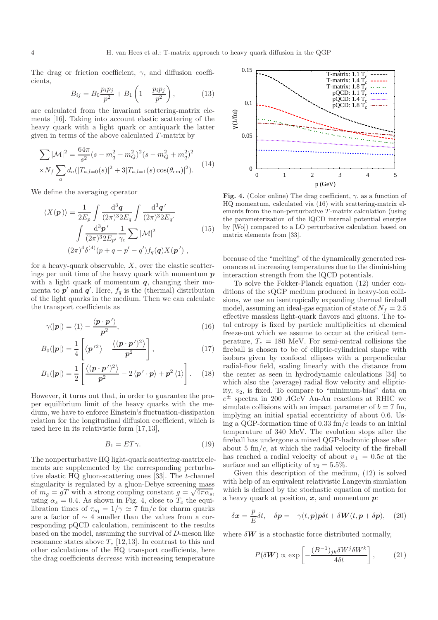<span id="page-3-2"></span>The drag or friction coefficient,  $\gamma$ , and diffusion coefficients,

$$
B_{ij} = B_0 \frac{p_i p_j}{p^2} + B_1 \left( 1 - \frac{p_i p_j}{p^2} \right), \tag{13}
$$

are calculated from the invariant scattering-matrix elements [\[16\]](#page-6-15). Taking into account elastic scattering of the heavy quark with a light quark or antiquark the latter given in terms of the above calculated  $T$ -matrix by

$$
\sum |\mathcal{M}|^2 = \frac{64\pi}{s^2} (s - m_q^2 + m_Q^2)^2 (s - m_Q^2 + m_q^2)^2
$$
  
 
$$
\times N_f \sum_a d_a (|T_{a,l=0}(s)|^2 + 3|T_{a,l=1}(s) \cos(\theta_{\rm cm})|^2). \tag{14}
$$

We define the averaging operator

$$
\langle X(\mathbf{p}) \rangle = \frac{1}{2E_p} \int \frac{\mathrm{d}^3 \mathbf{q}}{(2\pi)^3 2E_q} \int \frac{\mathrm{d}^3 \mathbf{q}'}{(2\pi)^3 2E_{q'}} \int \frac{\mathrm{d}^3 \mathbf{p}'}{(2\pi)^3 2E_{p'}} \frac{1}{\gamma_c} \sum |\mathcal{M}|^2 \qquad (15)
$$
  

$$
(2\pi)^4 \delta^{(4)}(p+q-p'-q') f_q(\mathbf{q}) X(\mathbf{p}'),
$$

for a heavy-quark observable,  $X$ , over the elastic scatterings per unit time of the heavy quark with momentum  $p$ with a light quark of momentum  $q$ , changing their momenta to  $p'$  and  $q'$ . Here,  $f_q$  is the (thermal) distribution of the light quarks in the medium. Then we can calculate the transport coefficients as

$$
\gamma(|p|) = \langle 1 \rangle - \frac{\langle p \cdot p' \rangle}{p^2},\tag{16}
$$

$$
B_0(|\mathbf{p}|) = \frac{1}{4} \left[ \langle \mathbf{p}'^2 \rangle - \frac{\langle (\mathbf{p} \cdot \mathbf{p}')^2 \rangle}{\mathbf{p}^2} \right],
$$
 (17)

$$
B_1(|p|) = \frac{1}{2} \left[ \frac{\langle (\boldsymbol{p} \cdot \boldsymbol{p}')^2 \rangle}{p^2} - 2 \langle \boldsymbol{p}' \cdot \boldsymbol{p} \rangle + \boldsymbol{p}^2 \langle 1 \rangle \right]. \tag{18}
$$

However, it turns out that, in order to guarantee the proper equilibrium limit of the heavy quarks with the medium, we have to enforce Einstein's fluctuation-dissipation relation for the longitudinal diffusion coefficient, which is used here in its relativistic form [\[17,](#page-6-16)[13\]](#page-6-12),

<span id="page-3-5"></span>
$$
B_1 = ET\gamma. \tag{19}
$$

The nonperturbative HQ light-quark scattering-matrix elements are supplemented by the corresponding perturbative elastic HQ gluon-scattering ones [\[33\]](#page-6-33). The t-channel singularity is regulated by a gluon-Debye screening mass of  $m_g = gT$  with a strong coupling constant  $g = \sqrt{4\pi\alpha_s}$ , using  $\alpha_s = 0.4$ . As shown in Fig. [4,](#page-3-0) close to  $T_c$  the equilibration times of  $\tau_{\text{eq}} = 1/\gamma \simeq 7 \text{ fm}/c$  for charm quarks are a factor of  $\sim$  4 smaller than the values from a corresponding pQCD calculation, reminiscent to the results based on the model, assuming the survival of D-meson like resonance states above  $T_c$  [\[12,](#page-6-11)[13\]](#page-6-12). In contrast to this and other calculations of the HQ transport coefficients, here the drag coefficients decrease with increasing temperature



<span id="page-3-0"></span>Fig. 4. (Color online) The drag coefficient,  $\gamma$ , as a function of HQ momentum, calculated via [\(16\)](#page-3-1) with scattering-matrix elements from the non-perturbative T-matrix calculation (using the parameterization of the lQCD internal potential energies by [Wo]) compared to a LO perturbative calculation based on matrix elements from [\[33\]](#page-6-33).

because of the "melting" of the dynamically generated resonances at increasing temperatures due to the diminishing interaction strength from the lQCD potentials.

<span id="page-3-1"></span>To solve the Fokker-Planck equation [\(12\)](#page-2-3) under conditions of the sQGP medium produced in heavy-ion collisions, we use an isentropically expanding thermal fireball model, assuming an ideal-gas equation of state of  $N_f = 2.5$ effective massless light-quark flavors and gluons. The total entropy is fixed by particle multiplicities at chemical freeze-out which we assume to occur at the critical temperature,  $T_c = 180$  MeV. For semi-central collisions the fireball is chosen to be of elliptic-cylindrical shape with isobars given by confocal ellipses with a perpendicular radial-flow field, scaling linearly with the distance from the center as seen in hydrodynamic calculations [\[34\]](#page-7-0) to which also the (average) radial flow velocity and ellipticity,  $v_2$ , is fixed. To compare to "minimum-bias" data on  $e^{\pm}$  spectra in 200 AGeV Au-Au reactions at RHIC we simulate collisions with an impact parameter of  $b = 7$  fm, implying an initial spatial eccentricity of about 0.6. Using a QGP-formation time of 0.33 fm/c leads to an initial temperature of 340 MeV. The evolution stops after the fireball has undergone a mixed QGP-hadronic phase after about 5  $\text{fm}/c$ , at which the radial velocity of the fireball has reached a radial velocity of about  $v_{\perp} = 0.5c$  at the surface and an ellipticity of  $v_2 = 5.5\%$ .

Given this description of the medium, [\(12\)](#page-2-3) is solved with help of an equivalent relativistic Langevin simulation which is defined by the stochastic equation of motion for a heavy quark at position,  $x$ , and momentum  $p$ :

$$
\delta \boldsymbol{x} = \frac{p}{E} \delta t, \quad \delta \boldsymbol{p} = -\gamma(t, \boldsymbol{p}) \boldsymbol{p} \delta t + \delta \boldsymbol{W}(t, \boldsymbol{p} + \delta \boldsymbol{p}), \quad (20)
$$

where  $\delta W$  is a stochastic force distributed normally,

<span id="page-3-4"></span><span id="page-3-3"></span>
$$
P(\delta W) \propto \exp\left[-\frac{(B^{-1})_{jk}\delta W^j \delta W^k}{4\delta t}\right],\tag{21}
$$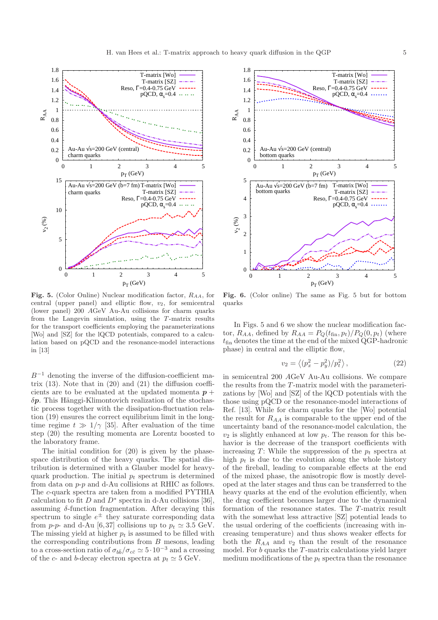

<span id="page-4-0"></span>Fig. 5. (Color Online) Nuclear modification factor,  $R_{AA}$ , for central (upper panel) and elliptic flow,  $v_2$ , for semicentral (lower panel) 200 AGeV Au-Au collisions for charm quarks from the Langevin simulation, using the T-matrix results for the transport coefficients employing the parameterizations [Wo] and [SZ] for the lQCD potentials, compared to a calculation based on pQCD and the resonance-model interactions in [\[13\]](#page-6-12)

 $B^{-1}$  denoting the inverse of the diffusion-coefficient matrix  $(13)$ . Note that in  $(20)$  and  $(21)$  the diffusion coefficients are to be evaluated at the updated momenta  $p +$  $\delta p$ . This Hänggi-Klimontovich realization of the stochastic process together with the dissipation-fluctuation relation [\(19\)](#page-3-5) ensures the correct equilibrium limit in the longtime regime  $t \gg 1/\gamma$  [\[35\]](#page-7-1). After evaluation of the time step [\(20\)](#page-3-3) the resulting momenta are Lorentz boosted to the laboratory frame.

The initial condition for [\(20\)](#page-3-3) is given by the phasespace distribution of the heavy quarks. The spatial distribution is determined with a Glauber model for heavyquark production. The initial  $p_t$  spectrum is determined from data on p-p and d-Au collisions at RHIC as follows. The c-quark spectra are taken from a modified PYTHIA calculation to fit D and  $D^*$  spectra in d-Au collisions [\[36\]](#page-7-2), assuming  $\delta$ -function fragmentation. After decaying this spectrum to single  $e^{\pm}$  they saturate corresponding data from p-p- and d-Au [\[6,](#page-6-5)[37\]](#page-7-3) collisions up to  $p_t \simeq 3.5$  GeV. The missing yield at higher  $p_t$  is assumed to be filled with the corresponding contributions from  $B$  mesons, leading to a cross-section ratio of  $\sigma_{b\bar{b}}/\sigma_{c\bar{c}} \simeq 5\cdot 10^{-3}$  and a crossing of the c- and b-decay electron spectra at  $p_t \simeq 5$  GeV.



<span id="page-4-1"></span>Fig. 6. (Color online) The same as Fig. [5](#page-4-0) but for bottom quarks

In Figs. [5](#page-4-0) and [6](#page-4-1) we show the nuclear modification factor,  $R_{AA}$ , defined by  $R_{AA} = P_Q(t_{fin}, p_t)/P_Q(0, p_t)$  (where  $t_{fin}$  denotes the time at the end of the mixed QGP-hadronic phase) in central and the elliptic flow,

$$
v_2 = \langle (p_x^2 - p_y^2)/p_t^2 \rangle, \qquad (22)
$$

in semicentral 200 AGeV Au-Au collisions. We compare the results from the T-matrix model with the parameterizations by [Wo] and [SZ] of the lQCD potentials with the those using pQCD or the resonance-model interactions of Ref. [\[13\]](#page-6-12). While for charm quarks for the [Wo] potential the result for  $R_{AA}$  is comparable to the upper end of the uncertainty band of the resonance-model calculation, the  $v_2$  is slightly enhanced at low  $p_t$ . The reason for this behavior is the decrease of the transport coefficients with increasing T: While the suppression of the  $p_t$  spectra at high  $p_t$  is due to the evolution along the whole history of the fireball, leading to comparable effects at the end of the mixed phase, the anisotropic flow is mostly developed at the later stages and thus can be transferred to the heavy quarks at the end of the evolution efficiently, when the drag coefficient becomes larger due to the dynamical formation of the resonance states. The T-matrix result with the somewhat less attractive [SZ] potential leads to the usual ordering of the coefficients (increasing with increasing temperature) and thus shows weaker effects for both the  $R_{AA}$  and  $v_2$  than the result of the resonance model. For  $b$  quarks the  $T$ -matrix calculations yield larger medium modifications of the  $p_t$  spectra than the resonance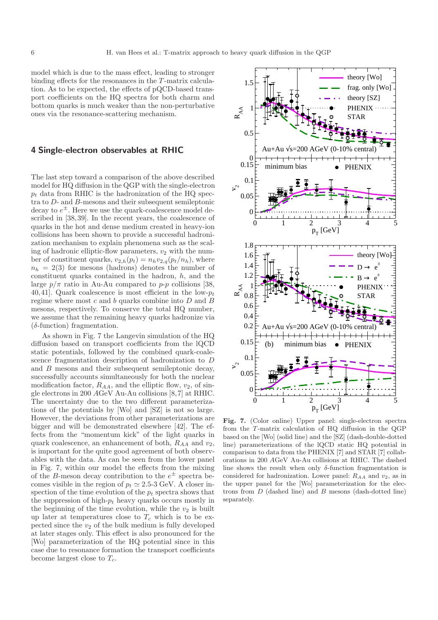model which is due to the mass effect, leading to stronger binding effects for the resonances in the T-matrix calculation. As to be expected, the effects of pQCD-based transport coefficients on the HQ spectra for both charm and bottom quarks is much weaker than the non-perturbative ones via the resonance-scattering mechanism.

#### <span id="page-5-0"></span>4 Single-electron observables at RHIC

The last step toward a comparison of the above described model for HQ diffusion in the QGP with the single-electron  $p_t$  data from RHIC is the hadronization of the HQ spectra to D- and B-mesons and their subsequent semileptonic decay to  $e^{\pm}$ . Here we use the quark-coalescence model described in [\[38,](#page-7-4)[39\]](#page-7-5). In the recent years, the coalescence of quarks in the hot and dense medium created in heavy-ion collisions has been shown to provide a successful hadronization mechanism to explain phenomena such as the scaling of hadronic elliptic-flow parameters,  $v_2$  with the number of constituent quarks,  $v_{2,h}(p_t) = n_h v_{2,q}(p_t/n_h)$ , where  $n_h = 2(3)$  for mesons (hadrons) denotes the number of constituent quarks contained in the hadron,  $h$ , and the large  $p/\pi$  ratio in Au-Au compared to p-p collisions [\[38,](#page-7-4) [40,](#page-7-6)[41\]](#page-7-7). Quark coalescence is most efficient in the low- $p_t$ regime where most  $c$  and  $b$  quarks combine into  $D$  and  $B$ mesons, respectively. To conserve the total HQ number, we assume that the remaining heavy quarks hadronize via (δ-function) fragmentation.

As shown in Fig. [7](#page-5-1) the Langevin simulation of the HQ diffusion based on transport coefficients from the lQCD static potentials, followed by the combined quark-coalescence fragmentation description of hadronization to D and B mesons and their subsequent semileptonic decay, successfully accounts simultaneously for both the nuclear modification factor,  $R_{AA}$ , and the elliptic flow,  $v_2$ , of single electrons in 200 AGeV Au-Au collisions [\[8,](#page-6-7)[7\]](#page-6-6) at RHIC. The uncertainty due to the two different parameterizations of the potentials by [Wo] and [SZ] is not so large. However, the deviations from other parameterizations are bigger and will be demonstrated elsewhere [\[42\]](#page-7-8). The effects from the "momentum kick" of the light quarks in quark coalescence, an enhancement of both,  $R_{AA}$  and  $v_2$ , is important for the quite good agreement of both observables with the data. As can be seen from the lower panel in Fig. [7,](#page-5-1) within our model the effects from the mixing of the B-meson decay contribution to the  $e^{\pm}$  spectra becomes visible in the region of  $p_t \simeq 2.5$ -3 GeV. A closer inspection of the time evolution of the  $p_t$  spectra shows that the suppression of high- $p_t$  heavy quarks occurs mostly in the beginning of the time evolution, while the  $v_2$  is built up later at temperatures close to  $T_c$  which is to be expected since the  $v_2$  of the bulk medium is fully developed at later stages only. This effect is also pronounced for the [Wo] parameterization of the HQ potential since in this case due to resonance formation the transport coefficients become largest close to  $T_c$ .



<span id="page-5-1"></span>Fig. 7. (Color online) Upper panel: single-electron spectra from the T-matrix calculation of HQ diffusion in the QGP based on the [Wo] (solid line) and the [SZ] (dash-double-dotted line) parameterizations of the lQCD static HQ potential in comparison to data from the PHENIX [\[7\]](#page-6-6) and STAR [\[7\]](#page-6-6) collaborations in 200 AGeV Au-Au collisions at RHIC. The dashed line shows the result when only  $\delta$ -function fragmentation is considered for hadronization. Lower panel:  $R_{AA}$  and  $v_2$ , as in the upper panel for the [Wo] parameterization for the electrons from  $D$  (dashed line) and  $B$  mesons (dash-dotted line) separately.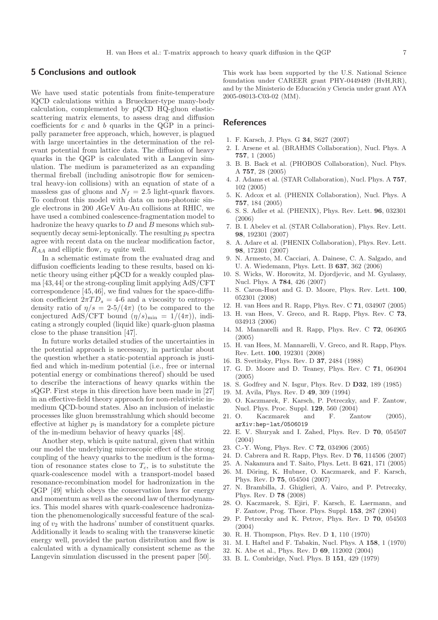#### <span id="page-6-17"></span>5 Conclusions and outlook

We have used static potentials from finite-temperature lQCD calculations within a Brueckner-type many-body calculation, complemented by pQCD HQ-gluon elasticscattering matrix elements, to assess drag and diffusion coefficients for c and b quarks in the QGP in a principally parameter free approach, which, however, is plagued with large uncertainties in the determination of the relevant potential from lattice data. The diffusion of heavy quarks in the QGP is calculated with a Langevin simulation. The medium is parameterized as an expanding thermal fireball (including anisotropic flow for semicentral heavy-ion collisions) with an equation of state of a massless gas of gluons and  $N_f = 2.5$  light-quark flavors. To confront this model with data on non-photonic single electrons in 200 AGeV Au-Au collisions at RHIC, we have used a combined coalescence-fragmentation model to hadronize the heavy quarks to  $D$  and  $B$  mesons which subsequently decay semi-leptonically. The resulting  $p_t$  spectra agree with recent data on the nuclear modification factor,  $R_{AA}$  and elliptic flow,  $v_2$  quite well.

In a schematic estimate from the evaluated drag and diffusion coefficients leading to these results, based on kinetic theory using either pQCD for a weakly coupled plasma [\[43,](#page-7-9)[44\]](#page-7-10) or the strong-coupling limit applying AdS/CFT correspondence [\[45,](#page-7-11)[46\]](#page-7-12), we find values for the space-diffusion coefficient  $2\pi TD_s = 4$ -6 and a viscosity to entropydensity ratio of  $\eta/s = 2.5/(4\pi)$  (to be compared to the conjectured AdS/CFT bound  $(\eta/s)_{\text{min}} = 1/(4\pi)$ , indicating a strongly coupled (liquid like) quark-gluon plasma close to the phase transition [\[47\]](#page-7-13).

In future works detailed studies of the uncertainties in the potential approach is necessary, in particular about the question whether a static-potential approach is justified and which in-medium potential (i.e., free or internal potential energy or combinations thereof) should be used to describe the interactions of heavy quarks within the sQGP. First steps in this direction have been made in [\[27\]](#page-6-27) in an effective-field theory approach for non-relativistic inmedium QCD-bound states. Also an inclusion of inelastic processes like gluon bremsstrahlung which should become effective at higher  $p_t$  is mandatory for a complete picture of the in-medium behavior of heavy quarks [\[48\]](#page-7-14).

Another step, which is quite natural, given that within our model the underlying microscopic effect of the strong coupling of the heavy quarks to the medium is the formation of resonance states close to  $T_c$ , is to substitute the quark-coalescence model with a transport-model based resonance-recombination model for hadronization in the QGP [\[49\]](#page-7-15) which obeys the conservation laws for energy and momentum as well as the second law of thermodynamics. This model shares with quark-coalescence hadronization the phenomenologically successful feature of the scaling of  $v_2$  with the hadrons' number of constituent quarks. Additionally it leads to scaling with the transverse kinetic energy well, provided the parton distribution and flow is calculated with a dynamically consistent scheme as the Langevin simulation discussed in the present paper [\[50\]](#page-7-16).

This work has been supported by the U.S. National Science foundation under CAREER grant PHY-0449489 (HvH,RR), and by the Ministerio de Educación y Ciencia under grant AYA 2005-08013-C03-02 (MM).

#### <span id="page-6-0"></span>References

- 1. F. Karsch, J. Phys. G 34, S627 (2007)
- <span id="page-6-2"></span><span id="page-6-1"></span>2. I. Arsene et al. (BRAHMS Collaboration), Nucl. Phys. A 757, 1 (2005)
- 3. B. B. Back et al. (PHOBOS Collaboration), Nucl. Phys. A 757, 28 (2005)
- <span id="page-6-3"></span>4. J. Adams et al. (STAR Collaboration), Nucl. Phys. A 757, 102 (2005)
- <span id="page-6-4"></span>5. K. Adcox et al. (PHENIX Collaboration), Nucl. Phys. A 757, 184 (2005)
- <span id="page-6-5"></span>6. S. S. Adler et al. (PHENIX), Phys. Rev. Lett. 96, 032301 (2006)
- <span id="page-6-6"></span>7. B. I. Abelev et al. (STAR Collaboration), Phys. Rev. Lett. 98, 192301 (2007)
- <span id="page-6-7"></span>8. A. Adare et al. (PHENIX Collaboration), Phys. Rev. Lett. 98, 172301 (2007)
- <span id="page-6-8"></span>9. N. Armesto, M. Cacciari, A. Dainese, C. A. Salgado, and U. A. Wiedemann, Phys. Lett. B 637, 362 (2006)
- <span id="page-6-9"></span>10. S. Wicks, W. Horowitz, M. Djordjevic, and M. Gyulassy, Nucl. Phys. A 784, 426 (2007)
- <span id="page-6-10"></span>11. S. Caron-Huot and G. D. Moore, Phys. Rev. Lett. 100, 052301 (2008)
- <span id="page-6-12"></span><span id="page-6-11"></span>12. H. van Hees and R. Rapp, Phys. Rev. C 71, 034907 (2005)
- <span id="page-6-13"></span>13. H. van Hees, V. Greco, and R. Rapp, Phys. Rev. C 73, 034913 (2006)
- 14. M. Mannarelli and R. Rapp, Phys. Rev. C 72, 064905 (2005)
- <span id="page-6-14"></span>15. H. van Hees, M. Mannarelli, V. Greco, and R. Rapp, Phys. Rev. Lett. 100, 192301 (2008)
- <span id="page-6-15"></span>16. B. Svetitsky, Phys. Rev. D 37, 2484 (1988)
- <span id="page-6-16"></span>17. G. D. Moore and D. Teaney, Phys. Rev. C 71, 064904 (2005)
- <span id="page-6-20"></span><span id="page-6-19"></span><span id="page-6-18"></span>18. S. Godfrey and N. Isgur, Phys. Rev. D D32, 189 (1985)
- 19. M. Avila, Phys. Rev. D 49, 309 (1994)
- 20. O. Kaczmarek, F. Karsch, P. Petreczky, and F. Zantow, Nucl. Phys. Proc. Suppl. 129, 560 (2004)
- <span id="page-6-21"></span>21. O. Kaczmarek and F. Zantow (2005), <arXiv:hep-lat/0506019>
- <span id="page-6-22"></span>22. E. V. Shuryak and I. Zahed, Phys. Rev. D 70, 054507 (2004)
- <span id="page-6-24"></span><span id="page-6-23"></span>23. C.-Y. Wong, Phys. Rev. C 72, 034906 (2005)
- 24. D. Cabrera and R. Rapp, Phys. Rev. D 76, 114506 (2007)
- <span id="page-6-26"></span><span id="page-6-25"></span>25. A. Nakamura and T. Saito, Phys. Lett. B 621, 171 (2005)
- 26. M. Döring, K. Hubner, O. Kaczmarek, and F. Karsch, Phys. Rev. D 75, 054504 (2007)
- <span id="page-6-27"></span>27. N. Brambilla, J. Ghiglieri, A. Vairo, and P. Petreczky, Phys. Rev. D 78 (2008)
- <span id="page-6-28"></span>28. O. Kaczmarek, S. Ejiri, F. Karsch, E. Laermann, and F. Zantow, Prog. Theor. Phys. Suppl. 153, 287 (2004)
- <span id="page-6-29"></span>29. P. Petreczky and K. Petrov, Phys. Rev. D 70, 054503 (2004)
- <span id="page-6-31"></span><span id="page-6-30"></span>30. R. H. Thompson, Phys. Rev. D 1, 110 (1970)
- <span id="page-6-32"></span>31. M. I. Haftel and F. Tabakin, Nucl. Phys. A 158, 1 (1970)
- <span id="page-6-33"></span>32. K. Abe et al., Phys. Rev. D 69, 112002 (2004)
- 33. B. L. Combridge, Nucl. Phys. B 151, 429 (1979)